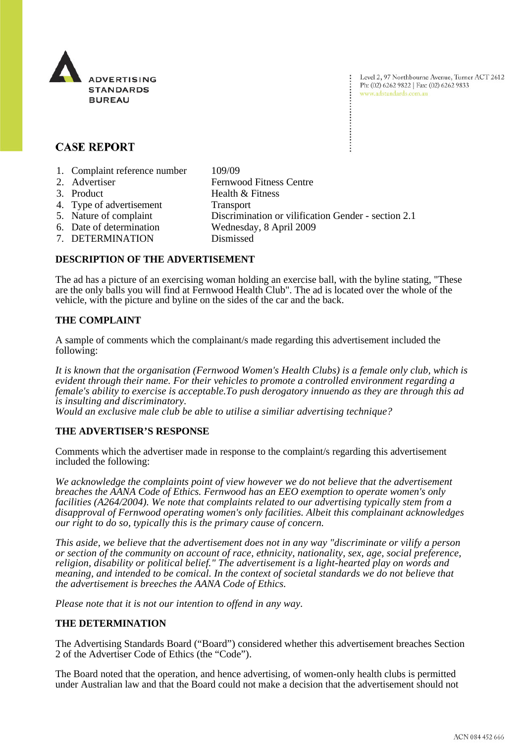

Level 2, 97 Northbourne Avenue, Turner ACT 2612 Ph: (02) 6262 9822 | Fax: (02) 6262 9833 www.adstandards.com.au

# **CASE REPORT**

- 1. Complaint reference number 109/09
- 2. Advertiser Fernwood Fitness Centre
- 3. Product Health & Fitness
- 4. Type of advertisement Transport
- 5. Nature of complaint Discrimination or vilification Gender section 2.1
- 
- 6. Date of determination Wednesday, 8 April 2009
- 7. DETERMINATION Dismissed

## **DESCRIPTION OF THE ADVERTISEMENT**

The ad has a picture of an exercising woman holding an exercise ball, with the byline stating, "These are the only balls you will find at Fernwood Health Club". The ad is located over the whole of the vehicle, with the picture and byline on the sides of the car and the back.

## **THE COMPLAINT**

A sample of comments which the complainant/s made regarding this advertisement included the following:

*It is known that the organisation (Fernwood Women's Health Clubs) is a female only club, which is evident through their name. For their vehicles to promote a controlled environment regarding a female's ability to exercise is acceptable.To push derogatory innuendo as they are through this ad is insulting and discriminatory.*

*Would an exclusive male club be able to utilise a similiar advertising technique?*

## **THE ADVERTISER'S RESPONSE**

Comments which the advertiser made in response to the complaint/s regarding this advertisement included the following:

*We acknowledge the complaints point of view however we do not believe that the advertisement breaches the AANA Code of Ethics. Fernwood has an EEO exemption to operate women's only facilities (A264/2004). We note that complaints related to our advertising typically stem from a disapproval of Fernwood operating women's only facilities. Albeit this complainant acknowledges our right to do so, typically this is the primary cause of concern.* 

*This aside, we believe that the advertisement does not in any way "discriminate or vilify a person or section of the community on account of race, ethnicity, nationality, sex, age, social preference, religion, disability or political belief." The advertisement is a light-hearted play on words and meaning, and intended to be comical. In the context of societal standards we do not believe that the advertisement is breeches the AANA Code of Ethics.* 

*Please note that it is not our intention to offend in any way.* 

### **THE DETERMINATION**

The Advertising Standards Board ("Board") considered whether this advertisement breaches Section 2 of the Advertiser Code of Ethics (the "Code").

The Board noted that the operation, and hence advertising, of women-only health clubs is permitted under Australian law and that the Board could not make a decision that the advertisement should not